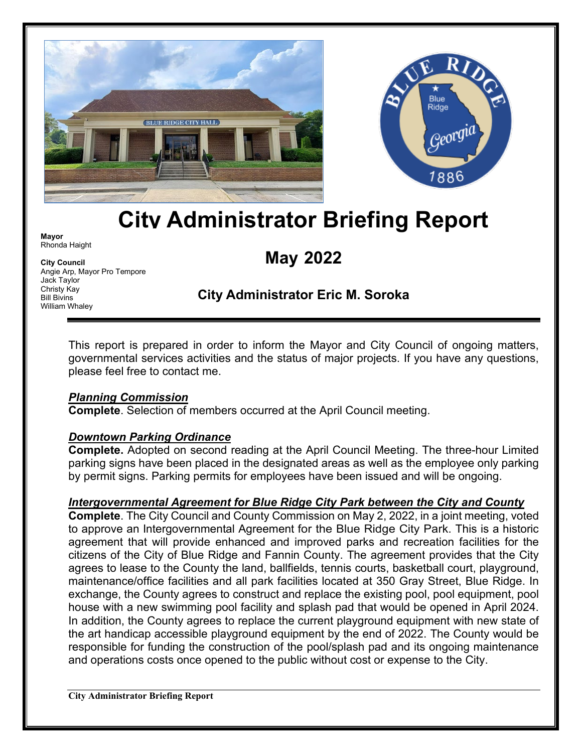



# **City Administrator Briefing Report**

**Mayor** Rhonda Haight

**City Council** Angie Arp, Mayor Pro Tempore Jack Taylor Christy Kay Bill Bivins William Whaley

# **May 2022**

# **City Administrator Eric M. Soroka**

This report is prepared in order to inform the Mayor and City Council of ongoing matters, governmental services activities and the status of major projects. If you have any questions, please feel free to contact me.

#### *Planning Commission*

**Complete**. Selection of members occurred at the April Council meeting.

#### *Downtown Parking Ordinance*

**Complete.** Adopted on second reading at the April Council Meeting. The three-hour Limited parking signs have been placed in the designated areas as well as the employee only parking by permit signs. Parking permits for employees have been issued and will be ongoing.

#### *Intergovernmental Agreement for Blue Ridge City Park between the City and County*

**Complete**. The City Council and County Commission on May 2, 2022, in a joint meeting, voted to approve an Intergovernmental Agreement for the Blue Ridge City Park. This is a historic agreement that will provide enhanced and improved parks and recreation facilities for the citizens of the City of Blue Ridge and Fannin County. The agreement provides that the City agrees to lease to the County the land, ballfields, tennis courts, basketball court, playground, maintenance/office facilities and all park facilities located at 350 Gray Street, Blue Ridge. In exchange, the County agrees to construct and replace the existing pool, pool equipment, pool house with a new swimming pool facility and splash pad that would be opened in April 2024. In addition, the County agrees to replace the current playground equipment with new state of the art handicap accessible playground equipment by the end of 2022. The County would be responsible for funding the construction of the pool/splash pad and its ongoing maintenance and operations costs once opened to the public without cost or expense to the City.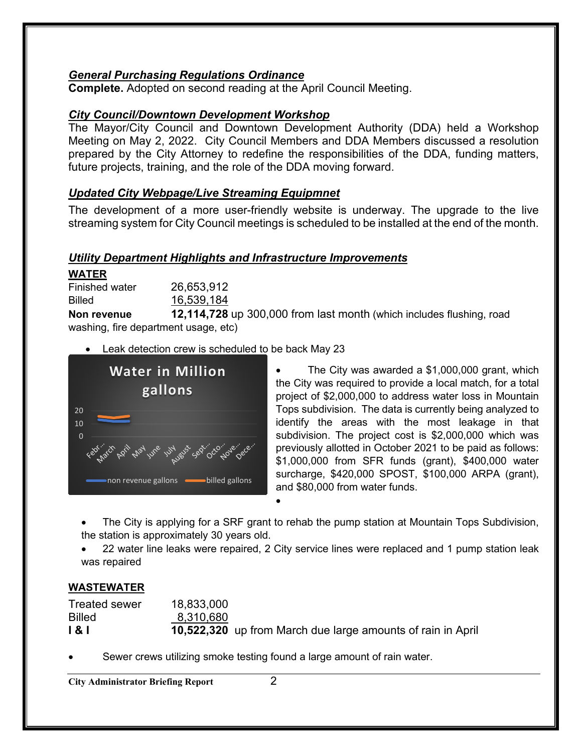#### *General Purchasing Regulations Ordinance*

**Complete.** Adopted on second reading at the April Council Meeting.

#### *City Council/Downtown Development Workshop*

The Mayor/City Council and Downtown Development Authority (DDA) held a Workshop Meeting on May 2, 2022. City Council Members and DDA Members discussed a resolution prepared by the City Attorney to redefine the responsibilities of the DDA, funding matters, future projects, training, and the role of the DDA moving forward.

#### *Updated City Webpage/Live Streaming Equipmnet*

The development of a more user-friendly website is underway. The upgrade to the live streaming system for City Council meetings is scheduled to be installed at the end of the month.

#### *Utility Department Highlights and Infrastructure Improvements*

**WATER** Finished water 26,653,912 Billed 16,539,184

**Non revenue 12,114,728** up 300,000 from last month (which includes flushing, road washing, fire department usage, etc)

• Leak detection crew is scheduled to be back May 23



The City was awarded a  $$1,000,000$  grant, which the City was required to provide a local match, for a total project of \$2,000,000 to address water loss in Mountain Tops subdivision. The data is currently being analyzed to identify the areas with the most leakage in that subdivision. The project cost is \$2,000,000 which was previously allotted in October 2021 to be paid as follows: \$1,000,000 from SFR funds (grant), \$400,000 water surcharge, \$420,000 SPOST, \$100,000 ARPA (grant), and \$80,000 from water funds.

• The City is applying for a SRF grant to rehab the pump station at Mountain Tops Subdivision, the station is approximately 30 years old.

• 22 water line leaks were repaired, 2 City service lines were replaced and 1 pump station leak was repaired

#### **WASTEWATER**

| <b>Treated sewer</b> | 18,833,000 |                                                             |
|----------------------|------------|-------------------------------------------------------------|
| <b>Billed</b>        | 8,310,680  |                                                             |
| 181                  |            | 10,522,320 up from March due large amounts of rain in April |

•

• Sewer crews utilizing smoke testing found a large amount of rain water.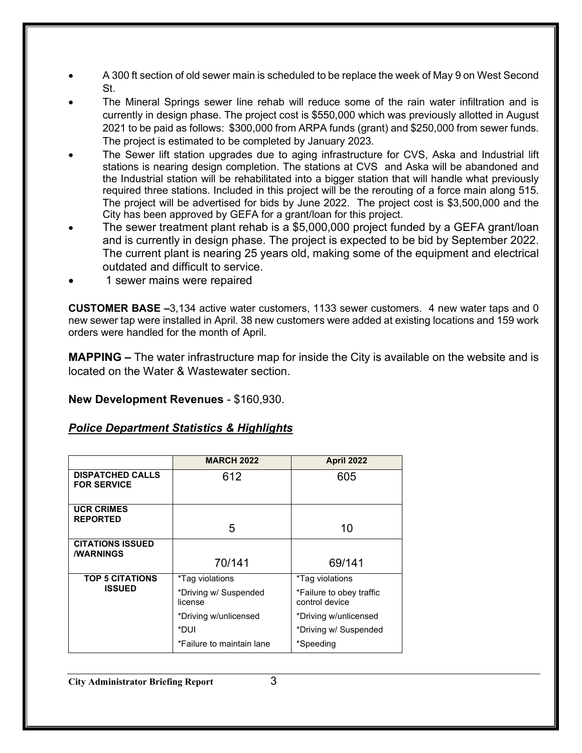- A 300 ft section of old sewer main is scheduled to be replace the week of May 9 on West Second St.
- The Mineral Springs sewer line rehab will reduce some of the rain water infiltration and is currently in design phase. The project cost is \$550,000 which was previously allotted in August 2021 to be paid as follows: \$300,000 from ARPA funds (grant) and \$250,000 from sewer funds. The project is estimated to be completed by January 2023.
- The Sewer lift station upgrades due to aging infrastructure for CVS, Aska and Industrial lift stations is nearing design completion. The stations at CVS and Aska will be abandoned and the Industrial station will be rehabilitated into a bigger station that will handle what previously required three stations. Included in this project will be the rerouting of a force main along 515. The project will be advertised for bids by June 2022. The project cost is \$3,500,000 and the City has been approved by GEFA for a grant/loan for this project.
- The sewer treatment plant rehab is a \$5,000,000 project funded by a GEFA grant/loan and is currently in design phase. The project is expected to be bid by September 2022. The current plant is nearing 25 years old, making some of the equipment and electrical outdated and difficult to service.
- 1 sewer mains were repaired

**CUSTOMER BASE –**3,134 active water customers, 1133 sewer customers. 4 new water taps and 0 new sewer tap were installed in April. 38 new customers were added at existing locations and 159 work orders were handled for the month of April.

**MAPPING –** The water infrastructure map for inside the City is available on the website and is located on the Water & Wastewater section.

**New Development Revenues** - \$160,930.

#### *Police Department Statistics & Highlights*

|                                                    | <b>MARCH 2022</b>                | <b>April 2022</b>                          |
|----------------------------------------------------|----------------------------------|--------------------------------------------|
| <b>DISPATCHED CALLS</b><br><b>FOR SERVICE</b>      | 612                              | 605                                        |
| <b>UCR CRIMES</b><br><b>REPORTED</b>               | 5                                | 10                                         |
| <b>CITATIONS ISSUED</b><br><b><i>I</i>WARNINGS</b> |                                  |                                            |
|                                                    | 70/141                           | 69/141                                     |
| <b>TOP 5 CITATIONS</b>                             | *Tag violations                  | *Tag violations                            |
| <b>ISSUED</b>                                      | *Driving w/ Suspended<br>license | *Failure to obey traffic<br>control device |
|                                                    | *Driving w/unlicensed            | *Driving w/unlicensed                      |
|                                                    | *DUI                             | *Driving w/ Suspended                      |
|                                                    | *Failure to maintain lane        | *Speeding                                  |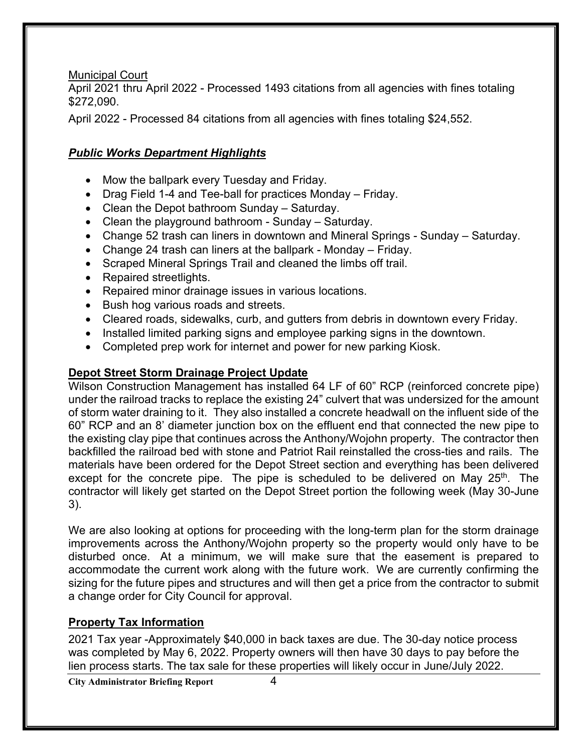Municipal Court

April 2021 thru April 2022 - Processed 1493 citations from all agencies with fines totaling \$272,090.

April 2022 - Processed 84 citations from all agencies with fines totaling \$24,552.

### *Public Works Department Highlights*

- Mow the ballpark every Tuesday and Friday.
- Drag Field 1-4 and Tee-ball for practices Monday Friday.
- Clean the Depot bathroom Sunday Saturday.
- Clean the playground bathroom Sunday Saturday.
- Change 52 trash can liners in downtown and Mineral Springs Sunday Saturday.
- Change 24 trash can liners at the ballpark Monday Friday.
- Scraped Mineral Springs Trail and cleaned the limbs off trail.
- Repaired streetlights.
- Repaired minor drainage issues in various locations.
- Bush hog various roads and streets.
- Cleared roads, sidewalks, curb, and gutters from debris in downtown every Friday.
- Installed limited parking signs and employee parking signs in the downtown.
- Completed prep work for internet and power for new parking Kiosk.

#### **Depot Street Storm Drainage Project Update**

Wilson Construction Management has installed 64 LF of 60" RCP (reinforced concrete pipe) under the railroad tracks to replace the existing 24" culvert that was undersized for the amount of storm water draining to it. They also installed a concrete headwall on the influent side of the 60" RCP and an 8' diameter junction box on the effluent end that connected the new pipe to the existing clay pipe that continues across the Anthony/Wojohn property. The contractor then backfilled the railroad bed with stone and Patriot Rail reinstalled the cross-ties and rails. The materials have been ordered for the Depot Street section and everything has been delivered except for the concrete pipe. The pipe is scheduled to be delivered on May  $25<sup>th</sup>$ . The contractor will likely get started on the Depot Street portion the following week (May 30-June 3).

We are also looking at options for proceeding with the long-term plan for the storm drainage improvements across the Anthony/Wojohn property so the property would only have to be disturbed once. At a minimum, we will make sure that the easement is prepared to accommodate the current work along with the future work. We are currently confirming the sizing for the future pipes and structures and will then get a price from the contractor to submit a change order for City Council for approval.

## **Property Tax Information**

2021 Tax year -Approximately \$40,000 in back taxes are due. The 30-day notice process was completed by May 6, 2022. Property owners will then have 30 days to pay before the lien process starts. The tax sale for these properties will likely occur in June/July 2022.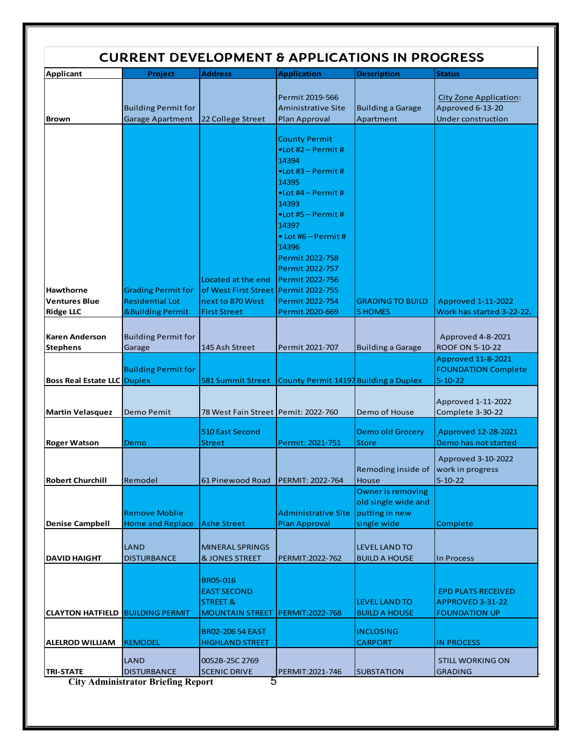| <b>CURRENT DEVELOPMENT &amp; APPLICATIONS IN PROGRESS</b>    |                                                                                    |                                                                                        |                                                                                                                                                                                                                                                                                       |                                                                                  |                                                                                |  |  |
|--------------------------------------------------------------|------------------------------------------------------------------------------------|----------------------------------------------------------------------------------------|---------------------------------------------------------------------------------------------------------------------------------------------------------------------------------------------------------------------------------------------------------------------------------------|----------------------------------------------------------------------------------|--------------------------------------------------------------------------------|--|--|
| <b>Applicant</b>                                             | Project                                                                            | <b>Address</b>                                                                         | <b>Application</b>                                                                                                                                                                                                                                                                    | <b>Description</b>                                                               | <b>Status</b>                                                                  |  |  |
| <b>Brown</b>                                                 | <b>Building Permit for</b><br>Garage Apartment                                     | 22 College Street                                                                      | Permit 2019-566<br><b>Aministrative Site</b><br>Plan Approval                                                                                                                                                                                                                         | <b>Building a Garage</b><br>Apartment                                            | <b>City Zone Application:</b><br>Approved 6-13-20<br><b>Under construction</b> |  |  |
|                                                              |                                                                                    | Located at the end                                                                     | <b>County Permit</b><br>$\bullet$ Lot #2 - Permit #<br>14394<br>$\bullet$ Lot #3 - Permit #<br>14395<br>$\bullet$ Lot #4 – Permit #<br>14393<br>$\bullet$ Lot #5 – Permit #<br>14397<br>$\bullet$ Lot #6 – Permit #<br>14396<br>Permit 2022-758<br>Permit 2022-757<br>Permit 2022-756 |                                                                                  |                                                                                |  |  |
| <b>Hawthorne</b><br><b>Ventures Blue</b><br><b>Ridge LLC</b> | <b>Grading Permit for</b><br><b>Residential Lot</b><br><b>&amp;Building Permit</b> | of West First Street<br>next to 870 West<br><b>First Street</b>                        | Permit 2022-755<br>Permit 2022-754<br>Permit 2020-669                                                                                                                                                                                                                                 | <b>GRADING TO BUILD</b><br><b>5 HOMES</b>                                        | <b>Approved 1-11-2022</b><br>Work has started 3-22-22.                         |  |  |
| <b>Karen Anderson</b><br><b>Stephens</b>                     | <b>Building Permit for</b><br>Garage                                               | 145 Ash Street                                                                         | Permit 2021-707                                                                                                                                                                                                                                                                       | <b>Building a Garage</b>                                                         | Approved 4-8-2021<br>ROOF ON 5-10-22<br><b>Approved 11-8-2021</b>              |  |  |
| <b>Boss Real Estate LLC Duplex</b>                           | <b>Building Permit for</b>                                                         | 581 Summit Street                                                                      | County Permit 14197 Building a Duplex                                                                                                                                                                                                                                                 |                                                                                  | <b>FOUNDATION Complete</b><br>$5 - 10 - 22$                                    |  |  |
| <b>Martin Velasquez</b>                                      | Demo Pemit                                                                         | 78 West Fain Street   Pemit: 2022-760                                                  |                                                                                                                                                                                                                                                                                       | Demo of House                                                                    | Approved 1-11-2022<br>Complete 3-30-22                                         |  |  |
| <b>Roger Watson</b>                                          | Demo                                                                               | <b>510 East Second</b><br>Street                                                       | Permit: 2021-751                                                                                                                                                                                                                                                                      | <b>Demo old Grocery</b><br><b>Store</b>                                          | Approved 12-28-2021<br>Demo has not started                                    |  |  |
| <b>Robert Churchill</b>                                      | Remodel                                                                            | 61 Pinewood Road                                                                       | <b>PERMIT: 2022-764</b>                                                                                                                                                                                                                                                               | Remoding inside of<br>House                                                      | Approved 3-10-2022<br>work in progress<br>$5 - 10 - 22$                        |  |  |
| <b>Denise Campbell</b>                                       | <b>Remove Moblie</b><br><b>Home and Replace</b>                                    | <b>Ashe Street</b>                                                                     | <b>Administrative Site</b><br><b>Plan Approval</b>                                                                                                                                                                                                                                    | <b>Owner is removing</b><br>old single wide and<br>putting in new<br>single wide | Complete                                                                       |  |  |
| <b>DAVID HAIGHT</b>                                          | LAND<br><b>DISTURBANCE</b>                                                         | <b>MINERAL SPRINGS</b><br><b>&amp; JONES STREET</b>                                    | PERMIT: 2022-762                                                                                                                                                                                                                                                                      | <b>LEVEL LAND TO</b><br><b>BUILD A HOUSE</b>                                     | In Process                                                                     |  |  |
| <b>CLAYTON HATFIELD BUILDING PERMIT</b>                      |                                                                                    | <b>BR05-016</b><br><b>EAST SECOND</b><br><b>STREET &amp;</b><br><b>MOUNTAIN STREET</b> | PERMIT:2022-768                                                                                                                                                                                                                                                                       | <b>LEVEL LAND TO</b><br><b>BUILD A HOUSE</b>                                     | <b>EPD PLATS RECEIVED</b><br>APPROVED 3-31-22<br><b>FOUNDATION UP</b>          |  |  |
| <b>ALELROD WILLIAM</b>                                       | <b>REMODEL</b>                                                                     | <b>BR02-206 54 EAST</b><br><b>HIGHLAND STREET</b>                                      |                                                                                                                                                                                                                                                                                       | <b>INCLOSING</b><br><b>CARPORT</b>                                               | IN PROCESS                                                                     |  |  |
| <b>TRI-STATE</b>                                             | LAND<br><b>DISTURBANCE</b><br><b>City Administrator Briefing Report</b>            | 0052B-25C 2769<br><b>SCENIC DRIVE</b><br>ხ                                             | PERMIT:2021-746                                                                                                                                                                                                                                                                       | <b>SUBSTATION</b>                                                                | <b>STILL WORKING ON</b><br><b>GRADING</b>                                      |  |  |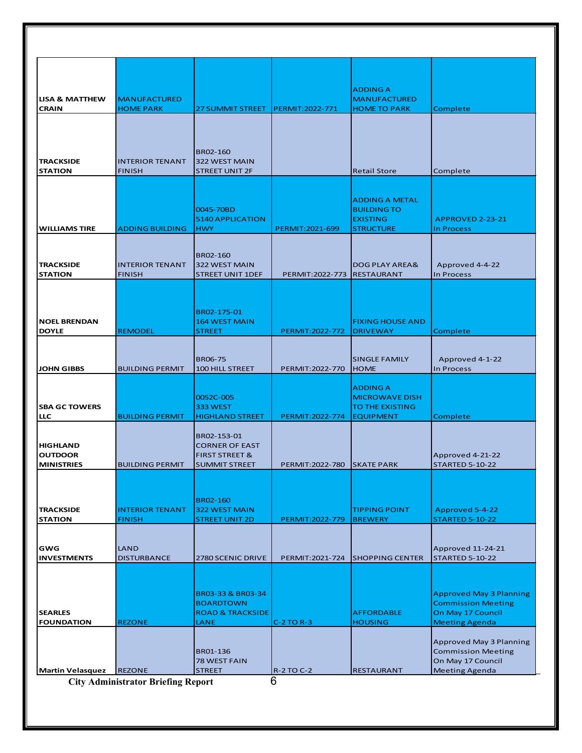| <b>LISA &amp; MATTHEW</b><br><b>CRAIN</b>              | <b>MANUFACTURED</b><br><b>HOME PARK</b> | 27 SUMMIT STREET                                                             | <b>PERMIT:2022-771</b>               | <b>ADDING A</b><br><b>MANUFACTURED</b><br><b>HOME TO PARK</b>                      | Complete                                                                                                  |
|--------------------------------------------------------|-----------------------------------------|------------------------------------------------------------------------------|--------------------------------------|------------------------------------------------------------------------------------|-----------------------------------------------------------------------------------------------------------|
| <b>TRACKSIDE</b><br><b>STATION</b>                     | <b>INTERIOR TENANT</b><br><b>FINISH</b> | BR02-160<br>322 WEST MAIN<br><b>STREET UNIT 2F</b>                           |                                      | <b>Retail Store</b>                                                                | Complete                                                                                                  |
| <b>WILLIAMS TIRE</b>                                   | <b>ADDING BUILDING</b>                  | 0045-70BD<br><b>5140 APPLICATION</b><br><b>HWY</b>                           | PERMIT: 2021-699                     | <b>ADDING A METAL</b><br><b>BUILDING TO</b><br><b>EXISTING</b><br><b>STRUCTURE</b> | APPROVED 2-23-21<br>In Process                                                                            |
| <b>TRACKSIDE</b><br><b>STATION</b>                     | <b>INTERIOR TENANT</b><br><b>FINISH</b> | BR02-160<br>322 WEST MAIN<br><b>STREET UNIT 1DEF</b>                         | PERMIT: 2022-773                     | <b>DOG PLAY AREA&amp;</b><br><b>RESTAURANT</b>                                     | Approved 4-4-22<br>In Process                                                                             |
| <b>NOEL BRENDAN</b><br><b>DOYLE</b>                    | <b>REMODEL</b>                          | BR02-175-01<br><b>164 WEST MAIN</b><br>STREET                                | PERMIT: 2022-772                     | <b>FIXING HOUSE AND</b><br><b>DRIVEWAY</b>                                         | Complete                                                                                                  |
| <b>JOHN GIBBS</b>                                      | <b>BUILDING PERMIT</b>                  | <b>BR06-75</b><br>100 HILL STREET                                            | PERMIT:2022-770                      | <b>SINGLE FAMILY</b><br><b>HOME</b>                                                | Approved 4-1-22<br>In Process                                                                             |
| <b>SBA GC TOWERS</b><br><b>LLC</b>                     | <b>BUILDING PERMIT</b>                  | 0052C-005<br>333 WEST<br><b>HIGHLAND STREET</b>                              | PERMIT: 2022-774                     | <b>ADDING A</b><br><b>MICROWAVE DISH</b><br>TO THE EXISTING<br><b>EQUIPMENT</b>    | Complete                                                                                                  |
| <b>HIGHLAND</b><br><b>OUTDOOR</b><br><b>MINISTRIES</b> | <b>BUILDING PERMIT</b>                  | BR02-153-01<br><b>CORNER OF EAST</b><br><b>FIRST STREET &amp;</b>            |                                      |                                                                                    | Approved 4-21-22                                                                                          |
| <b>TRACKSIDE</b><br><b>STATION</b>                     | <b>INTERIOR TENANT</b><br><b>FINISH</b> | <b>SUMMIT STREET</b><br>BR02-160<br>322 WEST MAIN<br><b>STREET UNIT 2D</b>   | PERMIT: 2022-780<br>PERMIT: 2022-779 | <b>SKATE PARK</b><br><b>TIPPING POINT</b><br><b>BREWERY</b>                        | <b>STARTED 5-10-22</b><br>Approved 5-4-22<br><b>STARTED 5-10-22</b>                                       |
| GWG<br><b>INVESTMENTS</b>                              | LAND<br><b>DISTURBANCE</b>              | 2780 SCENIC DRIVE                                                            | PERMIT: 2021-724                     | <b>SHOPPING CENTER</b>                                                             | Approved 11-24-21<br><b>STARTED 5-10-22</b>                                                               |
| <b>SEARLES</b><br><b>FOUNDATION</b>                    | <b>REZONE</b>                           | BR03-33 & BR03-34<br><b>BOARDTOWN</b><br><b>ROAD &amp; TRACKSIDE</b><br>LANE | $C-2$ TO R-3                         | <b>AFFORDABLE</b><br><b>HOUSING</b>                                                | <b>Approved May 3 Planning</b><br><b>Commission Meeting</b><br>On May 17 Council<br><b>Meeting Agenda</b> |
| <b>Martin Velasquez</b>                                | <b>REZONE</b>                           | BR01-136<br>78 WEST FAIN<br><b>STREET</b>                                    | <b>R-2 TO C-2</b><br>6               | <b>RESTAURANT</b>                                                                  | Approved May 3 Planning<br><b>Commission Meeting</b><br>On May 17 Council<br><b>Meeting Agenda</b>        |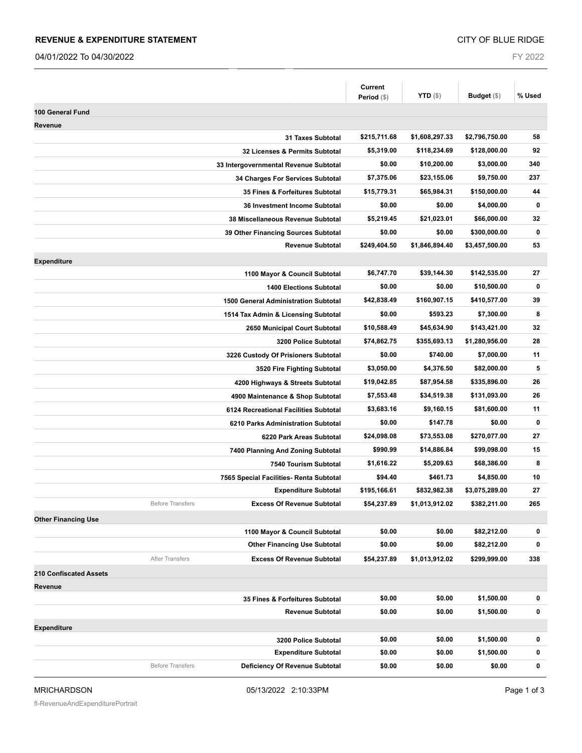#### **REVENUE & EXPENDITURE STATEMENT**

04/01/2022 To 04/30/2022

FY 2022

|                                                              | Current<br>Period (\$) | <b>YTD</b> $(\$)$ | Budget (\$)    | % Used    |
|--------------------------------------------------------------|------------------------|-------------------|----------------|-----------|
| 100 General Fund                                             |                        |                   |                |           |
| Revenue                                                      |                        |                   |                |           |
| <b>31 Taxes Subtotal</b>                                     | \$215,711.68           | \$1,608,297.33    | \$2,796,750.00 | 58        |
| 32 Licenses & Permits Subtotal                               | \$5,319.00             | \$118,234.69      | \$128,000.00   | 92        |
| 33 Intergovernmental Revenue Subtotal                        | \$0.00                 | \$10,200.00       | \$3,000.00     | 340       |
| 34 Charges For Services Subtotal                             | \$7,375.06             | \$23,155.06       | \$9,750.00     | 237       |
| 35 Fines & Forfeitures Subtotal                              | \$15,779.31            | \$65,984.31       | \$150,000.00   | 44        |
| 36 Investment Income Subtotal                                | \$0.00                 | \$0.00            | \$4,000.00     | $\bf{0}$  |
| 38 Miscellaneous Revenue Subtotal                            | \$5,219.45             | \$21,023.01       | \$66,000.00    | 32        |
| 39 Other Financing Sources Subtotal                          | \$0.00                 | \$0.00            | \$300,000.00   | 0         |
| <b>Revenue Subtotal</b>                                      | \$249,404.50           | \$1,846,894.40    | \$3,457,500.00 | 53        |
| <b>Expenditure</b>                                           |                        |                   |                |           |
| 1100 Mayor & Council Subtotal                                | \$6,747.70             | \$39,144.30       | \$142,535.00   | 27        |
| <b>1400 Elections Subtotal</b>                               | \$0.00                 | \$0.00            | \$10,500.00    | $\bf{0}$  |
| <b>1500 General Administration Subtotal</b>                  | \$42,838.49            | \$160,907.15      | \$410,577.00   | 39        |
| 1514 Tax Admin & Licensing Subtotal                          | \$0.00                 | \$593.23          | \$7,300.00     | 8         |
| 2650 Municipal Court Subtotal                                | \$10,588.49            | \$45,634.90       | \$143,421.00   | 32        |
| 3200 Police Subtotal                                         | \$74,862.75            | \$355,693.13      | \$1,280,956.00 | 28        |
| 3226 Custody Of Prisioners Subtotal                          | \$0.00                 | \$740.00          | \$7,000.00     | 11        |
| 3520 Fire Fighting Subtotal                                  | \$3,050.00             | \$4,376.50        | \$82,000.00    | 5         |
| 4200 Highways & Streets Subtotal                             | \$19,042.85            | \$87,954.58       | \$335,896.00   | 26        |
| 4900 Maintenance & Shop Subtotal                             | \$7,553.48             | \$34,519.38       | \$131,093.00   | 26        |
| 6124 Recreational Facilities Subtotal                        | \$3,683.16             | \$9,160.15        | \$81,600.00    | 11        |
| 6210 Parks Administration Subtotal                           | \$0.00                 | \$147.78          | \$0.00         | $\bf{0}$  |
| 6220 Park Areas Subtotal                                     | \$24,098.08            | \$73,553.08       | \$270,077.00   | 27        |
| 7400 Planning And Zoning Subtotal                            | \$990.99               | \$14,886.84       | \$99,098.00    | 15        |
| 7540 Tourism Subtotal                                        | \$1,616.22             | \$5,209.63        | \$68,386.00    | 8         |
| 7565 Special Facilities- Renta Subtotal                      | \$94.40                | \$461.73          | \$4,850.00     | 10        |
| <b>Expenditure Subtotal</b>                                  | \$195,166.61           | \$832,982.38      | \$3,075,289.00 | 27        |
| <b>Before Transfers</b><br><b>Excess Of Revenue Subtotal</b> | \$54,237.89            | \$1,013,912.02    | \$382,211.00   | 265       |
| <b>Other Financing Use</b>                                   |                        |                   |                |           |
| 1100 Mayor & Council Subtotal                                | \$0.00                 | \$0.00            | \$82,212.00    | 0         |
| <b>Other Financing Use Subtotal</b>                          | \$0.00                 | \$0.00            | \$82,212.00    | $\pmb{0}$ |
| <b>After Transfers</b><br><b>Excess Of Revenue Subtotal</b>  | \$54,237.89            | \$1,013,912.02    | \$299,999.00   | 338       |
| 210 Confiscated Assets                                       |                        |                   |                |           |
| Revenue                                                      |                        |                   |                |           |
| 35 Fines & Forfeitures Subtotal                              | \$0.00                 | \$0.00            | \$1,500.00     | 0         |
| <b>Revenue Subtotal</b>                                      | \$0.00                 | \$0.00            | \$1,500.00     | 0         |
| <b>Expenditure</b>                                           |                        |                   |                |           |
| 3200 Police Subtotal                                         | \$0.00                 | \$0.00            | \$1,500.00     | 0         |
| <b>Expenditure Subtotal</b>                                  | \$0.00                 | \$0.00            | \$1,500.00     | 0         |
| <b>Before Transfers</b><br>Deficiency Of Revenue Subtotal    | \$0.00                 | \$0.00            | \$0.00         | 0         |
|                                                              |                        |                   |                |           |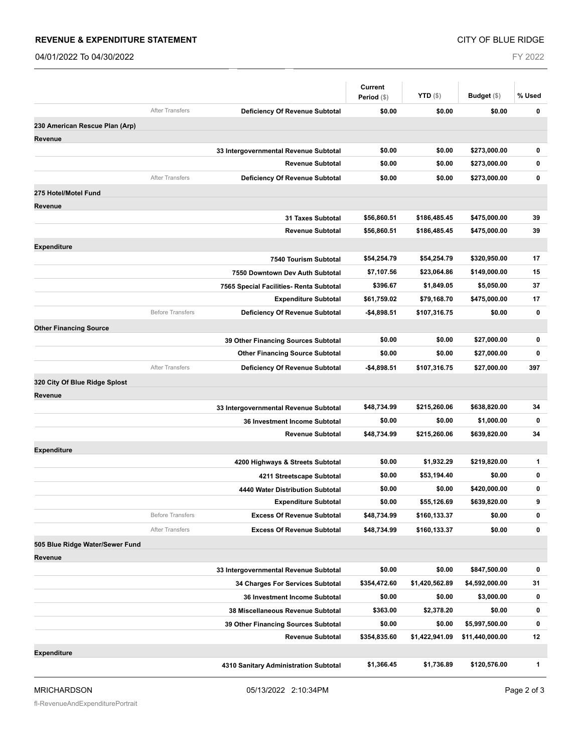#### **REVENUE & EXPENDITURE STATEMENT**

04/01/2022 To 04/30/2022

FY 2022

|                                 |                         |                                         | <b>Current</b> |                   |                 |             |
|---------------------------------|-------------------------|-----------------------------------------|----------------|-------------------|-----------------|-------------|
|                                 |                         |                                         | Period (\$)    | <b>YTD</b> $(\$)$ | Budget $(\$)$   | % Used      |
|                                 | <b>After Transfers</b>  | Deficiency Of Revenue Subtotal          | \$0.00         | \$0.00            | \$0.00          | 0           |
| 230 American Rescue Plan (Arp)  |                         |                                         |                |                   |                 |             |
| <b>Revenue</b>                  |                         |                                         |                |                   |                 |             |
|                                 |                         | 33 Intergovernmental Revenue Subtotal   | \$0.00         | \$0.00            | \$273,000.00    | 0           |
|                                 |                         | <b>Revenue Subtotal</b>                 | \$0.00         | \$0.00            | \$273,000.00    | $\bf{0}$    |
|                                 | <b>After Transfers</b>  | <b>Deficiency Of Revenue Subtotal</b>   | \$0.00         | \$0.00            | \$273,000.00    | $\mathbf 0$ |
| 275 Hotel/Motel Fund            |                         |                                         |                |                   |                 |             |
| Revenue                         |                         |                                         |                |                   |                 |             |
|                                 |                         | <b>31 Taxes Subtotal</b>                | \$56,860.51    | \$186,485.45      | \$475,000.00    | 39          |
|                                 |                         | <b>Revenue Subtotal</b>                 | \$56,860.51    | \$186,485.45      | \$475,000.00    | 39          |
| <b>Expenditure</b>              |                         |                                         |                |                   |                 |             |
|                                 |                         | 7540 Tourism Subtotal                   | \$54,254.79    | \$54,254.79       | \$320,950.00    | 17          |
|                                 |                         | 7550 Downtown Dev Auth Subtotal         | \$7,107.56     | \$23,064.86       | \$149,000.00    | 15          |
|                                 |                         | 7565 Special Facilities- Renta Subtotal | \$396.67       | \$1,849.05        | \$5,050.00      | 37          |
|                                 |                         | <b>Expenditure Subtotal</b>             | \$61,759.02    | \$79,168.70       | \$475,000.00    | 17          |
|                                 | <b>Before Transfers</b> | Deficiency Of Revenue Subtotal          | $-$4,898.51$   | \$107,316.75      | \$0.00          | $\bf{0}$    |
| <b>Other Financing Source</b>   |                         |                                         |                |                   |                 |             |
|                                 |                         | 39 Other Financing Sources Subtotal     | \$0.00         | \$0.00            | \$27,000.00     | $\pmb{0}$   |
|                                 |                         | <b>Other Financing Source Subtotal</b>  | \$0.00         | \$0.00            | \$27,000.00     | 0           |
|                                 | <b>After Transfers</b>  | Deficiency Of Revenue Subtotal          | $-$4,898.51$   | \$107,316.75      | \$27,000.00     | 397         |
| 320 City Of Blue Ridge Splost   |                         |                                         |                |                   |                 |             |
| Revenue                         |                         |                                         |                |                   |                 |             |
|                                 |                         | 33 Intergovernmental Revenue Subtotal   | \$48,734.99    | \$215,260.06      | \$638,820.00    | 34          |
|                                 |                         | 36 Investment Income Subtotal           | \$0.00         | \$0.00            | \$1,000.00      | $\mathbf 0$ |
|                                 |                         | <b>Revenue Subtotal</b>                 | \$48,734.99    | \$215,260.06      | \$639,820.00    | 34          |
| <b>Expenditure</b>              |                         |                                         |                |                   |                 |             |
|                                 |                         | 4200 Highways & Streets Subtotal        | \$0.00         | \$1,932.29        | \$219,820.00    | 1           |
|                                 |                         | 4211 Streetscape Subtotal               | \$0.00         | \$53,194.40       | \$0.00          | 0           |
|                                 |                         | 4440 Water Distribution Subtotal        | \$0.00         | \$0.00            | \$420,000.00    | 0           |
|                                 |                         | <b>Expenditure Subtotal</b>             | \$0.00         | \$55,126.69       | \$639,820.00    | 9           |
|                                 | <b>Before Transfers</b> | <b>Excess Of Revenue Subtotal</b>       | \$48,734.99    | \$160,133.37      | \$0.00          | 0           |
|                                 | <b>After Transfers</b>  | <b>Excess Of Revenue Subtotal</b>       | \$48,734.99    | \$160,133.37      | \$0.00          | $\bf{0}$    |
| 505 Blue Ridge Water/Sewer Fund |                         |                                         |                |                   |                 |             |
| Revenue                         |                         |                                         |                |                   |                 |             |
|                                 |                         | 33 Intergovernmental Revenue Subtotal   | \$0.00         | \$0.00            | \$847,500.00    | 0           |
|                                 |                         | 34 Charges For Services Subtotal        | \$354,472.60   | \$1,420,562.89    | \$4,592,000.00  | 31          |
|                                 |                         | 36 Investment Income Subtotal           | \$0.00         | \$0.00            | \$3,000.00      | $\pmb{0}$   |
|                                 |                         | 38 Miscellaneous Revenue Subtotal       | \$363.00       | \$2,378.20        | \$0.00          | 0           |
|                                 |                         | 39 Other Financing Sources Subtotal     | \$0.00         | \$0.00            | \$5,997,500.00  | 0           |
|                                 |                         | <b>Revenue Subtotal</b>                 | \$354,835.60   | \$1,422,941.09    | \$11,440,000.00 | 12          |
| <b>Expenditure</b>              |                         |                                         |                |                   |                 |             |
|                                 |                         | 4310 Sanitary Administration Subtotal   | \$1,366.45     | \$1,736.89        | \$120,576.00    | 1           |
|                                 |                         |                                         |                |                   |                 |             |